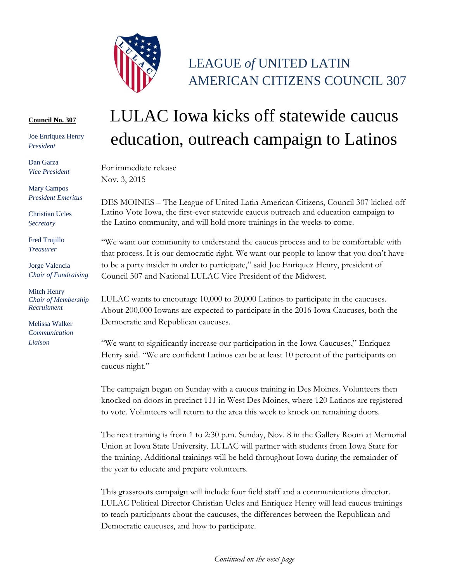

## LEAGUE *of* UNITED LATIN AMERICAN CITIZENS COUNCIL 307

## **Council No. 307**

Joe Enriquez Henry *President*

Dan Garza *Vice President*

Mary Campos *President Emeritus*

Christian Ucles *Secretary*

Fred Trujillo *Treasurer*

Jorge Valencia *Chair of Fundraising*

Mitch Henry *Chair of Membership Recruitment*

Melissa Walker *Communication Liaison*

## LULAC Iowa kicks off statewide caucus education, outreach campaign to Latinos

For immediate release Nov. 3, 2015

DES MOINES – The League of United Latin American Citizens, Council 307 kicked off Latino Vote Iowa, the first-ever statewide caucus outreach and education campaign to the Latino community, and will hold more trainings in the weeks to come.

"We want our community to understand the caucus process and to be comfortable with that process. It is our democratic right. We want our people to know that you don't have to be a party insider in order to participate," said Joe Enriquez Henry, president of Council 307 and National LULAC Vice President of the Midwest.

LULAC wants to encourage 10,000 to 20,000 Latinos to participate in the caucuses. About 200,000 Iowans are expected to participate in the 2016 Iowa Caucuses, both the Democratic and Republican caucuses.

"We want to significantly increase our participation in the Iowa Caucuses," Enriquez Henry said. "We are confident Latinos can be at least 10 percent of the participants on caucus night."

The campaign began on Sunday with a caucus training in Des Moines. Volunteers then knocked on doors in precinct 111 in West Des Moines, where 120 Latinos are registered to vote. Volunteers will return to the area this week to knock on remaining doors.

The next training is from 1 to 2:30 p.m. Sunday, Nov. 8 in the Gallery Room at Memorial Union at Iowa State University. LULAC will partner with students from Iowa State for the training. Additional trainings will be held throughout Iowa during the remainder of the year to educate and prepare volunteers.

This grassroots campaign will include four field staff and a communications director. LULAC Political Director Christian Ucles and Enriquez Henry will lead caucus trainings to teach participants about the caucuses, the differences between the Republican and Democratic caucuses, and how to participate.